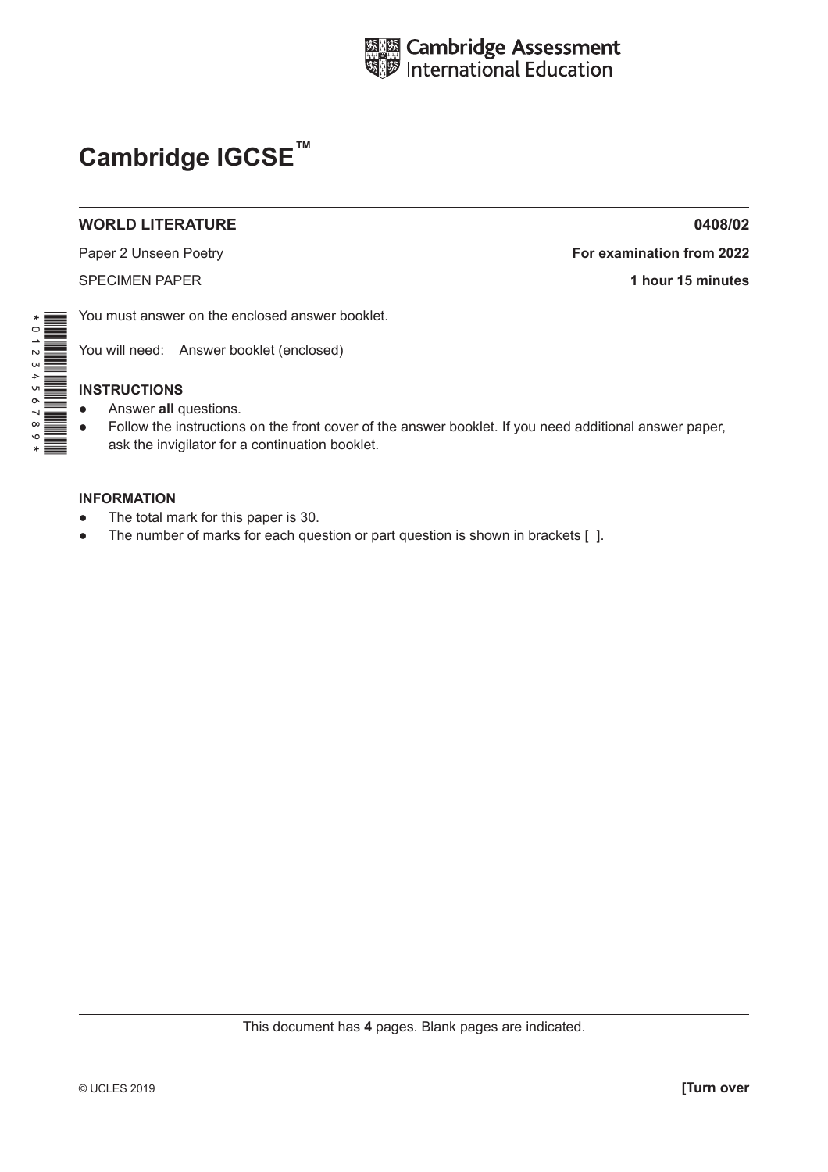

## **Cambridge IGCSE™**

## **WORLD LITERATURE 0408/02**

Paper 2 Unseen Poetry **For examination from 2022**

SPECIMEN PAPER **1 hour 15 minutes**

You must answer on the enclosed answer booklet.

You will need: Answer booklet (enclosed)

## **INSTRUCTIONS**

- Answer **all** questions.
- Follow the instructions on the front cover of the answer booklet. If you need additional answer paper, ask the invigilator for a continuation booklet.

## **INFORMATION**

- The total mark for this paper is 30.
- The number of marks for each question or part question is shown in brackets  $[ ]$ .

\*0123456789\*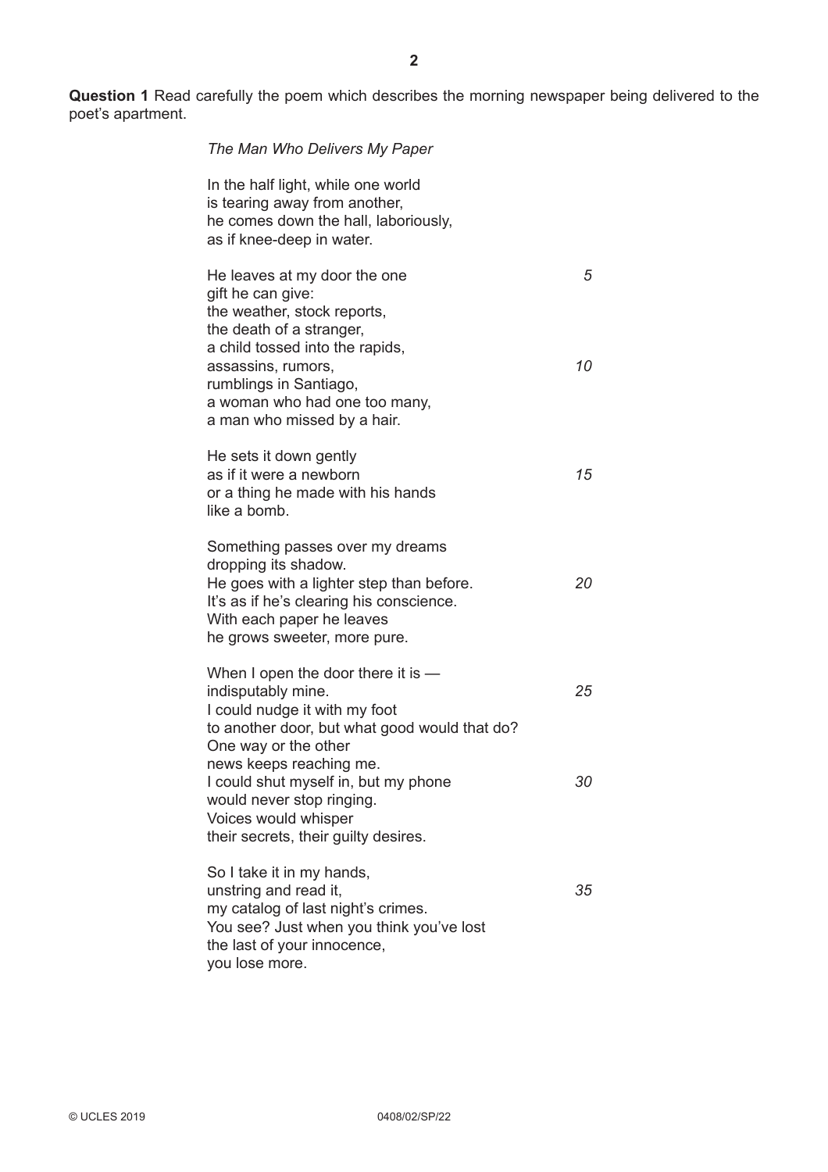**Question 1** Read carefully the poem which describes the morning newspaper being delivered to the poet's apartment.

| The Man Who Delivers My Paper                                                                                                                                                                                |         |
|--------------------------------------------------------------------------------------------------------------------------------------------------------------------------------------------------------------|---------|
| In the half light, while one world<br>is tearing away from another,<br>he comes down the hall, laboriously,<br>as if knee-deep in water.                                                                     |         |
| He leaves at my door the one<br>gift he can give:<br>the weather, stock reports,<br>the death of a stranger,<br>a child tossed into the rapids,<br>assassins, rumors,                                        | 5<br>10 |
| rumblings in Santiago,<br>a woman who had one too many,<br>a man who missed by a hair.                                                                                                                       |         |
| He sets it down gently<br>as if it were a newborn<br>or a thing he made with his hands<br>like a bomb.                                                                                                       | 15      |
| Something passes over my dreams<br>dropping its shadow.<br>He goes with a lighter step than before.<br>It's as if he's clearing his conscience.<br>With each paper he leaves<br>he grows sweeter, more pure. | 20      |
| When I open the door there it is $-$<br>indisputably mine.<br>I could nudge it with my foot<br>to another door, but what good would that do?<br>One way or the other                                         | 25      |
| news keeps reaching me.<br>I could shut myself in, but my phone<br>would never stop ringing.<br>Voices would whisper<br>their secrets, their guilty desires.                                                 | 30      |
| So I take it in my hands,<br>unstring and read it,<br>my catalog of last night's crimes.<br>You see? Just when you think you've lost<br>the last of your innocence,                                          | 35      |

you lose more.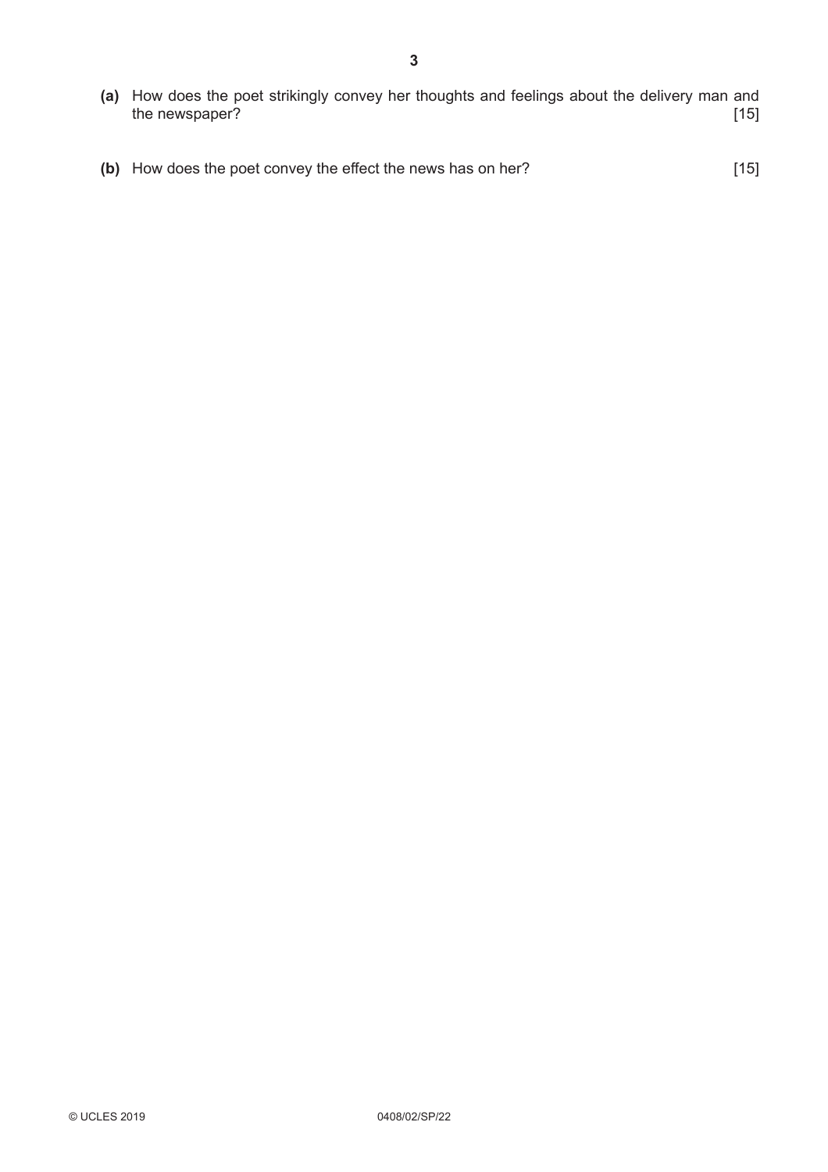- **(a)** How does the poet strikingly convey her thoughts and feelings about the delivery man and the newspaper? [15]
- **(b)** How does the poet convey the effect the news has on her? [15]